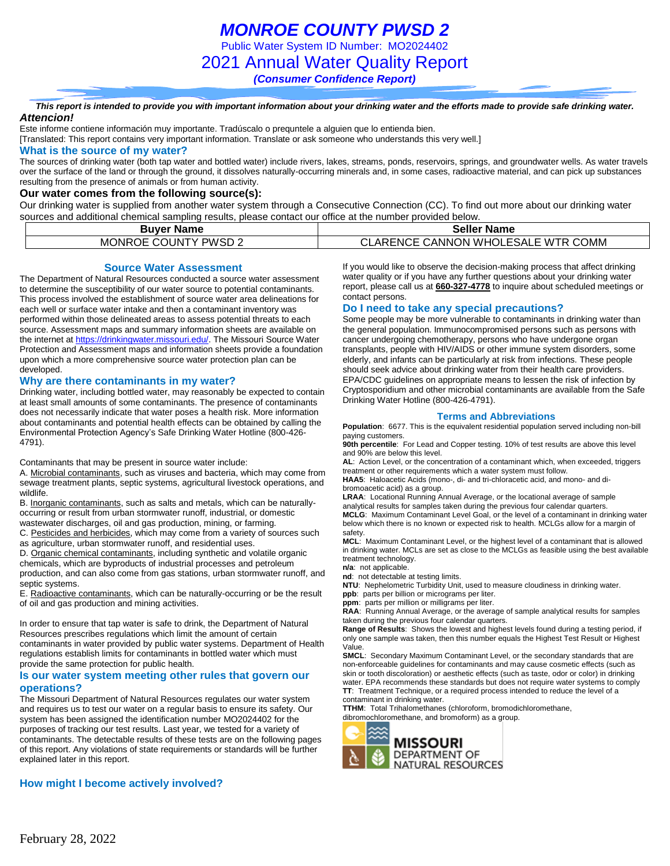Public Water System ID Number: MO2024402

2021 Annual Water Quality Report

*(Consumer Confidence Report)*

*This report is intended to provide you with important information about your drinking water and the efforts made to provide safe drinking water. Attencion!*

Este informe contiene información muy importante. Tradúscalo o prequntele a alguien que lo entienda bien.

[Translated: This report contains very important information. Translate or ask someone who understands this very well.]

#### **What is the source of my water?**

The sources of drinking water (both tap water and bottled water) include rivers, lakes, streams, ponds, reservoirs, springs, and groundwater wells. As water travels over the surface of the land or through the ground, it dissolves naturally-occurring minerals and, in some cases, radioactive material, and can pick up substances resulting from the presence of animals or from human activity.

#### **Our water comes from the following source(s):**

Our drinking water is supplied from another water system through a Consecutive Connection (CC). To find out more about our drinking water sources and additional chemical sampling results, please contact our office at the number provided below.

| <b>Buver Name</b>    | <b>Seller Name</b>                 |
|----------------------|------------------------------------|
| MONROE COUNTY PWSD 2 | CLARENCE CANNON WHOLESALE WTR COMM |

**Source Water Assessment**

The Department of Natural Resources conducted a source water assessment to determine the susceptibility of our water source to potential contaminants. This process involved the establishment of source water area delineations for each well or surface water intake and then a contaminant inventory was performed within those delineated areas to assess potential threats to each source. Assessment maps and summary information sheets are available on the internet a[t https://drinkingwater.missouri.edu/.](https://drinkingwater.missouri.edu/) The Missouri Source Water Protection and Assessment maps and information sheets provide a foundation upon which a more comprehensive source water protection plan can be developed.

#### **Why are there contaminants in my water?**

Drinking water, including bottled water, may reasonably be expected to contain at least small amounts of some contaminants. The presence of contaminants does not necessarily indicate that water poses a health risk. More information about contaminants and potential health effects can be obtained by calling the Environmental Protection Agency's Safe Drinking Water Hotline (800-426- 4791).

Contaminants that may be present in source water include:

A. Microbial contaminants, such as viruses and bacteria, which may come from sewage treatment plants, septic systems, agricultural livestock operations, and wildlife.

B. Inorganic contaminants, such as salts and metals, which can be naturallyoccurring or result from urban stormwater runoff, industrial, or domestic wastewater discharges, oil and gas production, mining, or farming.

C. Pesticides and herbicides, which may come from a variety of sources such as agriculture, urban stormwater runoff, and residential uses.

D. Organic chemical contaminants, including synthetic and volatile organic chemicals, which are byproducts of industrial processes and petroleum production, and can also come from gas stations, urban stormwater runoff, and septic systems.

E. Radioactive contaminants, which can be naturally-occurring or be the result of oil and gas production and mining activities.

In order to ensure that tap water is safe to drink, the Department of Natural Resources prescribes regulations which limit the amount of certain contaminants in water provided by public water systems. Department of Health regulations establish limits for contaminants in bottled water which must provide the same protection for public health.

#### **Is our water system meeting other rules that govern our operations?**

The Missouri Department of Natural Resources regulates our water system and requires us to test our water on a regular basis to ensure its safety. Our system has been assigned the identification number MO2024402 for the purposes of tracking our test results. Last year, we tested for a variety of contaminants. The detectable results of these tests are on the following pages of this report. Any violations of state requirements or standards will be further explained later in this report.

### **How might I become actively involved?**

If you would like to observe the decision-making process that affect drinking water quality or if you have any further questions about your drinking water report, please call us at **660-327-4778** to inquire about scheduled meetings or contact persons.

#### **Do I need to take any special precautions?**

Some people may be more vulnerable to contaminants in drinking water than the general population. Immunocompromised persons such as persons with cancer undergoing chemotherapy, persons who have undergone organ transplants, people with HIV/AIDS or other immune system disorders, some elderly, and infants can be particularly at risk from infections. These people should seek advice about drinking water from their health care providers. EPA/CDC guidelines on appropriate means to lessen the risk of infection by Cryptosporidium and other microbial contaminants are available from the Safe Drinking Water Hotline (800-426-4791).

#### **Terms and Abbreviations**

**Population**: 6677. This is the equivalent residential population served including non-bill paying customers.

**90th percentile**: For Lead and Copper testing. 10% of test results are above this level and 90% are below this level.

**AL**: Action Level, or the concentration of a contaminant which, when exceeded, triggers treatment or other requirements which a water system must follow.

**HAA5**: Haloacetic Acids (mono-, di- and tri-chloracetic acid, and mono- and dibromoacetic acid) as a group.

**LRAA**: Locational Running Annual Average, or the locational average of sample analytical results for samples taken during the previous four calendar quarters. **MCLG**: Maximum Contaminant Level Goal, or the level of a contaminant in drinking water below which there is no known or expected risk to health. MCLGs allow for a margin of safety.

**MCL**: Maximum Contaminant Level, or the highest level of a contaminant that is allowed in drinking water. MCLs are set as close to the MCLGs as feasible using the best available treatment technology.

**n/a**: not applicable.

**nd**: not detectable at testing limits.

**NTU**: Nephelometric Turbidity Unit, used to measure cloudiness in drinking water. **ppb**: parts per billion or micrograms per liter.

**ppm**: parts per million or milligrams per liter.

**RAA**: Running Annual Average, or the average of sample analytical results for samples taken during the previous four calendar quarters.

**Range of Results**: Shows the lowest and highest levels found during a testing period, if only one sample was taken, then this number equals the Highest Test Result or Highest Value.

**SMCL**: Secondary Maximum Contaminant Level, or the secondary standards that are non-enforceable guidelines for contaminants and may cause cosmetic effects (such as skin or tooth discoloration) or aesthetic effects (such as taste, odor or color) in drinking water. EPA recommends these standards but does not require water systems to comply **TT**: Treatment Technique, or a required process intended to reduce the level of a contaminant in drinking water.

**TTHM**: Total Trihalomethanes (chloroform, bromodichloromethane, dibromochloromethane, and bromoform) as a group.

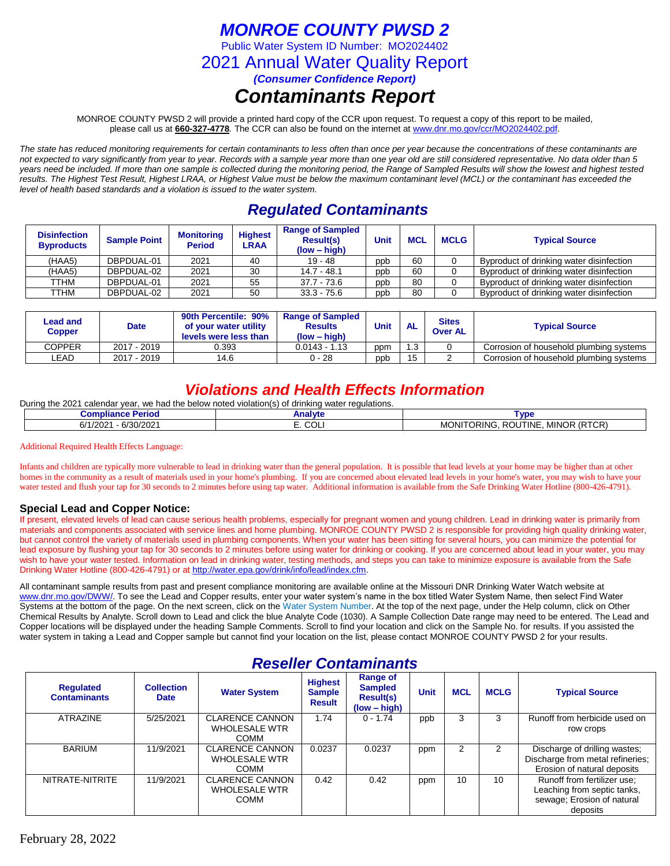### *MONROE COUNTY PWSD 2*

Public Water System ID Number: MO2024402

2021 Annual Water Quality Report

*(Consumer Confidence Report)*

### *Contaminants Report*

MONROE COUNTY PWSD 2 will provide a printed hard copy of the CCR upon request. To request a copy of this report to be mailed, please call us at **660-327-4778***.* The CCR can also be found on the internet at www.dnr.mo.gov/ccr/MO2024402.pdf.

*The state has reduced monitoring requirements for certain contaminants to less often than once per year because the concentrations of these contaminants are not expected to vary significantly from year to year. Records with a sample year more than one year old are still considered representative. No data older than 5 years need be included. If more than one sample is collected during the monitoring period, the Range of Sampled Results will show the lowest and highest tested results. The Highest Test Result, Highest LRAA, or Highest Value must be below the maximum contaminant level (MCL) or the contaminant has exceeded the level of health based standards and a violation is issued to the water system.* 

### *Regulated Contaminants*

| <b>Disinfection</b><br><b>Byproducts</b> | <b>Sample Point</b> | <b>Monitoring</b><br><b>Period</b> | <b>Highest</b><br>LRAA | <b>Range of Sampled</b><br><b>Result(s)</b><br>$(low - high)$ | Unit | <b>MCL</b> | <b>MCLG</b> | <b>Typical Source</b>                    |
|------------------------------------------|---------------------|------------------------------------|------------------------|---------------------------------------------------------------|------|------------|-------------|------------------------------------------|
| (HAA5)                                   | DBPDUAL-01          | 2021                               | 40                     | $19 - 48$                                                     | ppb  | 60         |             | Byproduct of drinking water disinfection |
| (HAA5)                                   | DBPDUAL-02          | 2021                               | 30                     | $14.7 - 48.1$                                                 | ppb  | 60         |             | Byproduct of drinking water disinfection |
| TTHM                                     | DBPDUAL-01          | 2021                               | 55                     | $37.7 - 73.6$                                                 | ppb  | 80         |             | Byproduct of drinking water disinfection |
| TTHM                                     | DBPDUAL-02          | 2021                               | 50                     | $33.3 - 75.6$                                                 | ppb  | 80         |             | Byproduct of drinking water disinfection |

| Lead and<br>Copper | Date        | 90th Percentile: 90%<br><b>Range of Sampled</b><br>of your water utility<br><b>Results</b><br>$(low - high)$<br>levels were less than |                 | <b>Unit</b> | <b>AL</b> | <b>Sites</b><br><b>Over AL</b> | <b>Typical Source</b>                   |  |  |
|--------------------|-------------|---------------------------------------------------------------------------------------------------------------------------------------|-----------------|-------------|-----------|--------------------------------|-----------------------------------------|--|--|
| COPPER             | 2017 - 2019 | 0.393                                                                                                                                 | $0.0143 - 1.13$ | ppm         | 1.3       |                                | Corrosion of household plumbing systems |  |  |
| ∟EAD               | 2017 - 2019 | 14.6                                                                                                                                  | $0 - 28$        | ppb         | 15        |                                | Corrosion of household plumbing systems |  |  |

### *Violations and Health Effects Information*

During the 2021 calendar year, we had the below noted violation(s) of drinking water regulations.

| Period<br>- 1<br>Compilal<br>nce                   | Analvt<br>ana, | . Ar                                                                                      |
|----------------------------------------------------|----------------|-------------------------------------------------------------------------------------------|
| 1/202<br>S/20<br>∗ ∩^<br>r 11<br>- n<br>67<br>ے∪∠ا | E. COL         | (0.70)<br><b>MINOR</b><br>МC<br>`INC<br><b>ORINC</b><br>- 17<br>. ROUTINE<br>. .<br>I URI |

Additional Required Health Effects Language:

Infants and children are typically more vulnerable to lead in drinking water than the general population. It is possible that lead levels at your home may be higher than at other homes in the community as a result of materials used in your home's plumbing. If you are concerned about elevated lead levels in your home's water, you may wish to have your water tested and flush your tap for 30 seconds to 2 minutes before using tap water. Additional information is available from the Safe Drinking Water Hotline (800-426-4791).

### **Special Lead and Copper Notice:**

If present, elevated levels of lead can cause serious health problems, especially for pregnant women and young children. Lead in drinking water is primarily from materials and components associated with service lines and home plumbing. MONROE COUNTY PWSD 2 is responsible for providing high quality drinking water, but cannot control the variety of materials used in plumbing components. When your water has been sitting for several hours, you can minimize the potential for lead exposure by flushing your tap for 30 seconds to 2 minutes before using water for drinking or cooking. If you are concerned about lead in your water, you may wish to have your water tested. Information on lead in drinking water, testing methods, and steps you can take to minimize exposure is available from the Safe Drinking Water Hotline (800-426-4791) or at [http://water.epa.gov/drink/info/lead/index.cfm.](http://water.epa.gov/drink/info/lead/index.cfm)

All contaminant sample results from past and present compliance monitoring are available online at the Missouri DNR Drinking Water Watch website at [www.dnr.mo.gov/DWW/.](http://www.dnr.mo.gov/DWW/) To see the Lead and Copper results, enter your water system's name in the box titled Water System Name, then select Find Water Systems at the bottom of the page. On the next screen, click on the Water System Number. At the top of the next page, under the Help column, click on Other Chemical Results by Analyte. Scroll down to Lead and click the blue Analyte Code (1030). A Sample Collection Date range may need to be entered. The Lead and Copper locations will be displayed under the heading Sample Comments. Scroll to find your location and click on the Sample No. for results. If you assisted the water system in taking a Lead and Copper sample but cannot find your location on the list, please contact MONROE COUNTY PWSD 2 for your results.

### *Reseller Contaminants*

| <b>Regulated</b><br><b>Contaminants</b> | <b>Collection</b><br><b>Date</b> | <b>Water System</b>                                           | <b>Highest</b><br><b>Sample</b><br><b>Result</b> | Range of<br><b>Sampled</b><br><b>Result(s)</b><br>$(low - high)$ | <b>Unit</b> | <b>MCL</b> | <b>MCLG</b> | <b>Typical Source</b>                                                                                |
|-----------------------------------------|----------------------------------|---------------------------------------------------------------|--------------------------------------------------|------------------------------------------------------------------|-------------|------------|-------------|------------------------------------------------------------------------------------------------------|
| <b>ATRAZINE</b>                         | 5/25/2021                        | <b>CLARENCE CANNON</b><br><b>WHOLESALE WTR</b><br><b>COMM</b> | 1.74                                             | $0 - 1.74$                                                       | ppb         | 3          | 3           | Runoff from herbicide used on<br>row crops                                                           |
| <b>BARIUM</b>                           | 11/9/2021                        | <b>CLARENCE CANNON</b><br><b>WHOLESALE WTR</b><br>COMM        | 0.0237                                           | 0.0237                                                           | ppm         | 2          |             | Discharge of drilling wastes;<br>Discharge from metal refineries;<br>Erosion of natural deposits     |
| NITRATE-NITRITE                         | 11/9/2021                        | <b>CLARENCE CANNON</b><br><b>WHOLESALE WTR</b><br><b>COMM</b> | 0.42                                             | 0.42                                                             | ppm         | 10         | 10          | Runoff from fertilizer use:<br>Leaching from septic tanks,<br>sewage; Erosion of natural<br>deposits |